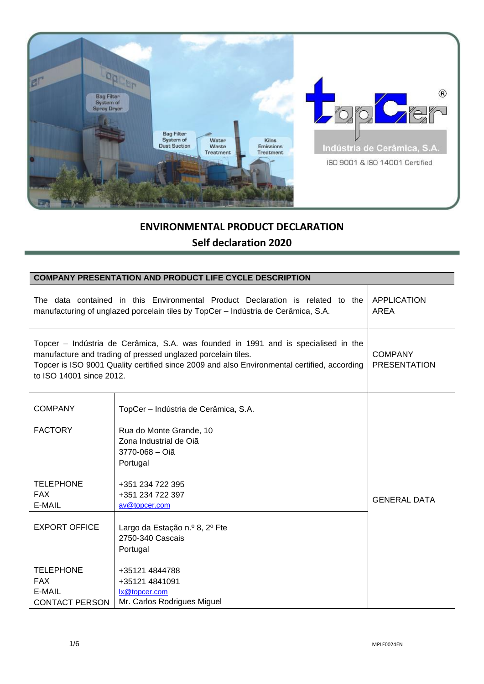

# **ENVIRONMENTAL PRODUCT DECLARATION**

# **Self declaration 2020**

| <b>COMPANY PRESENTATION AND PRODUCT LIFE CYCLE DESCRIPTION</b> |                                                                                                                                                                                                                                                   |                                       |  |  |
|----------------------------------------------------------------|---------------------------------------------------------------------------------------------------------------------------------------------------------------------------------------------------------------------------------------------------|---------------------------------------|--|--|
|                                                                | The data contained in this Environmental Product Declaration is related to the<br>manufacturing of unglazed porcelain tiles by TopCer - Indústria de Cerâmica, S.A.                                                                               | <b>APPLICATION</b><br><b>AREA</b>     |  |  |
| to ISO 14001 since 2012.                                       | Topcer - Indústria de Cerâmica, S.A. was founded in 1991 and is specialised in the<br>manufacture and trading of pressed unglazed porcelain tiles.<br>Topcer is ISO 9001 Quality certified since 2009 and also Environmental certified, according | <b>COMPANY</b><br><b>PRESENTATION</b> |  |  |
| <b>COMPANY</b>                                                 | TopCer - Indústria de Cerâmica, S.A.                                                                                                                                                                                                              |                                       |  |  |
| <b>FACTORY</b>                                                 | Rua do Monte Grande, 10<br>Zona Industrial de Oiã<br>3770-068 - Oiã<br>Portugal                                                                                                                                                                   |                                       |  |  |
| <b>TELEPHONE</b>                                               | +351 234 722 395                                                                                                                                                                                                                                  |                                       |  |  |
| <b>FAX</b>                                                     | +351 234 722 397                                                                                                                                                                                                                                  | <b>GENERAL DATA</b>                   |  |  |
| E-MAIL                                                         | av@topcer.com                                                                                                                                                                                                                                     |                                       |  |  |
| <b>EXPORT OFFICE</b>                                           | Largo da Estação n.º 8, 2º Fte<br>2750-340 Cascais<br>Portugal                                                                                                                                                                                    |                                       |  |  |
| <b>TELEPHONE</b>                                               | +35121 4844788                                                                                                                                                                                                                                    |                                       |  |  |
| <b>FAX</b>                                                     | +35121 4841091                                                                                                                                                                                                                                    |                                       |  |  |
| E-MAIL                                                         | lx@topcer.com                                                                                                                                                                                                                                     |                                       |  |  |
| <b>CONTACT PERSON</b>                                          | Mr. Carlos Rodrigues Miguel                                                                                                                                                                                                                       |                                       |  |  |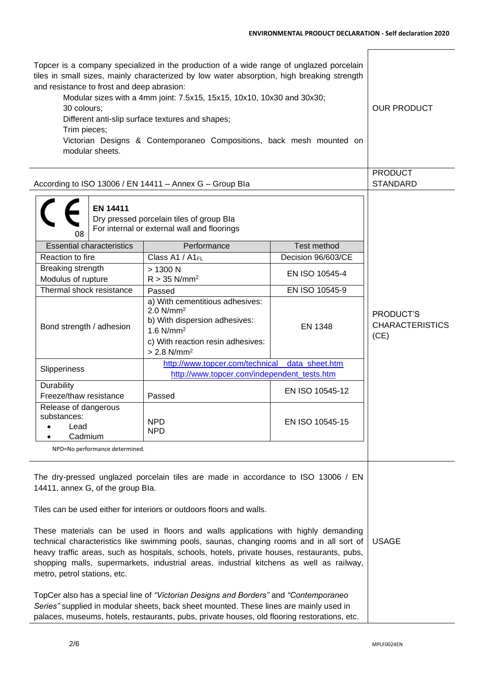$\blacksquare$ 

| Topcer is a company specialized in the production of a wide range of unglazed porcelain<br>tiles in small sizes, mainly characterized by low water absorption, high breaking strength<br>and resistance to frost and deep abrasion:<br>Modular sizes with a 4mm joint: 7.5x15, 15x15, 10x10, 10x30 and 30x30;<br>30 colours;<br>Different anti-slip surface textures and shapes;<br>Trim pieces;<br>Victorian Designs & Contemporaneo Compositions, back mesh mounted on<br>modular sheets.                                                                                                                | <b>OUR PRODUCT</b>                                                                                                                                                                       |                    |                                             |
|------------------------------------------------------------------------------------------------------------------------------------------------------------------------------------------------------------------------------------------------------------------------------------------------------------------------------------------------------------------------------------------------------------------------------------------------------------------------------------------------------------------------------------------------------------------------------------------------------------|------------------------------------------------------------------------------------------------------------------------------------------------------------------------------------------|--------------------|---------------------------------------------|
| According to ISO 13006 / EN 14411 - Annex G - Group Bla                                                                                                                                                                                                                                                                                                                                                                                                                                                                                                                                                    |                                                                                                                                                                                          |                    | <b>PRODUCT</b><br><b>STANDARD</b>           |
| <b>EN 14411</b><br>08                                                                                                                                                                                                                                                                                                                                                                                                                                                                                                                                                                                      | Dry pressed porcelain tiles of group Bla<br>For internal or external wall and floorings                                                                                                  |                    |                                             |
| <b>Essential characteristics</b>                                                                                                                                                                                                                                                                                                                                                                                                                                                                                                                                                                           | Performance                                                                                                                                                                              | Test method        |                                             |
| Reaction to fire                                                                                                                                                                                                                                                                                                                                                                                                                                                                                                                                                                                           | Class A1 / A1FL                                                                                                                                                                          | Decision 96/603/CE |                                             |
| Breaking strength<br>Modulus of rupture                                                                                                                                                                                                                                                                                                                                                                                                                                                                                                                                                                    | > 1300 N<br>$R > 35$ N/mm <sup>2</sup>                                                                                                                                                   | EN ISO 10545-4     |                                             |
| Thermal shock resistance                                                                                                                                                                                                                                                                                                                                                                                                                                                                                                                                                                                   | Passed                                                                                                                                                                                   | EN ISO 10545-9     |                                             |
| Bond strength / adhesion                                                                                                                                                                                                                                                                                                                                                                                                                                                                                                                                                                                   | a) With cementitious adhesives:<br>$2.0$ N/mm <sup>2</sup><br>b) With dispersion adhesives:<br>$1.6$ N/mm <sup>2</sup><br>c) With reaction resin adhesives:<br>$> 2.8$ N/mm <sup>2</sup> | <b>EN 1348</b>     | PRODUCT'S<br><b>CHARACTERISTICS</b><br>(CE) |
| Slipperiness                                                                                                                                                                                                                                                                                                                                                                                                                                                                                                                                                                                               | http://www.topcer.com/technical_data_sheet.htm                                                                                                                                           |                    |                                             |
|                                                                                                                                                                                                                                                                                                                                                                                                                                                                                                                                                                                                            | http://www.topcer.com/independent_tests.htm                                                                                                                                              |                    |                                             |
| Durability<br>Freeze/thaw resistance                                                                                                                                                                                                                                                                                                                                                                                                                                                                                                                                                                       | Passed                                                                                                                                                                                   | EN ISO 10545-12    |                                             |
| Release of dangerous<br>substances:<br>Lead<br>Cadmium                                                                                                                                                                                                                                                                                                                                                                                                                                                                                                                                                     | <b>NPD</b><br><b>NPD</b>                                                                                                                                                                 | EN ISO 10545-15    |                                             |
| NPD=No performance determined.                                                                                                                                                                                                                                                                                                                                                                                                                                                                                                                                                                             |                                                                                                                                                                                          |                    |                                             |
| The dry-pressed unglazed porcelain tiles are made in accordance to ISO 13006 / EN<br>14411, annex G, of the group Bla.<br>Tiles can be used either for interiors or outdoors floors and walls.<br>These materials can be used in floors and walls applications with highly demanding<br>technical characteristics like swimming pools, saunas, changing rooms and in all sort of<br>heavy traffic areas, such as hospitals, schools, hotels, private houses, restaurants, pubs,<br>shopping malls, supermarkets, industrial areas, industrial kitchens as well as railway,<br>metro, petrol stations, etc. | <b>USAGE</b>                                                                                                                                                                             |                    |                                             |
| TopCer also has a special line of "Victorian Designs and Borders" and "Contemporaneo"<br>Series" supplied in modular sheets, back sheet mounted. These lines are mainly used in<br>palaces, museums, hotels, restaurants, pubs, private houses, old flooring restorations, etc.                                                                                                                                                                                                                                                                                                                            |                                                                                                                                                                                          |                    |                                             |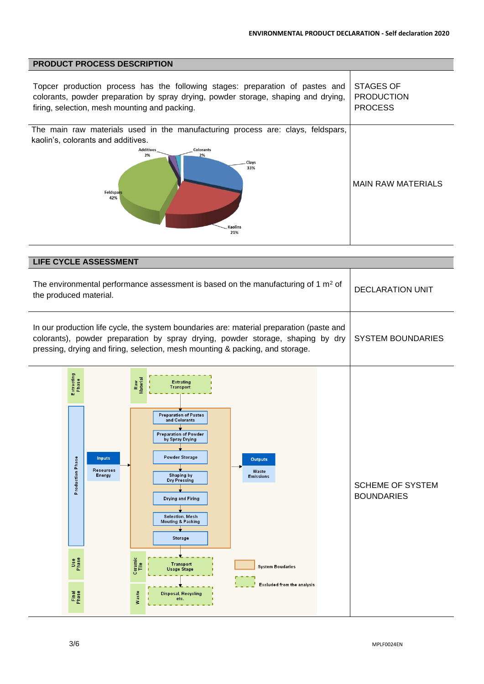| <b>PRODUCT PROCESS DESCRIPTION</b>                                                                                                                                                                                                            |                                                  |
|-----------------------------------------------------------------------------------------------------------------------------------------------------------------------------------------------------------------------------------------------|--------------------------------------------------|
| Topcer production process has the following stages: preparation of pastes and<br>colorants, powder preparation by spray drying, powder storage, shaping and drying,<br>firing, selection, mesh mounting and packing.                          | STAGES OF<br><b>PRODUCTION</b><br><b>PROCESS</b> |
| The main raw materials used in the manufacturing process are: clays, feldspars,<br>kaolin's, colorants and additives.<br><b>Additives</b><br><b>Colorants</b><br>2%<br>2%<br><b>Clays</b><br>33%<br>Feldspars<br>42%<br><b>Kaolins</b><br>21% | <b>MAIN RAW MATERIALS</b>                        |

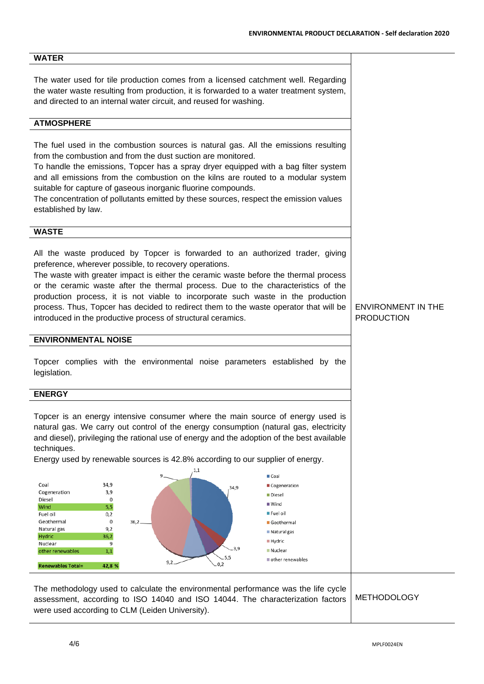## **WATER**

The water used for tile production comes from a licensed catchment well. Regarding the water waste resulting from production, it is forwarded to a water treatment system, and directed to an internal water circuit, and reused for washing.

### **ATMOSPHERE**

The fuel used in the combustion sources is natural gas. All the emissions resulting from the combustion and from the dust suction are monitored.

To handle the emissions, Topcer has a spray dryer equipped with a bag filter system and all emissions from the combustion on the kilns are routed to a modular system suitable for capture of gaseous inorganic fluorine compounds.

The concentration of pollutants emitted by these sources, respect the emission values established by law.

### **WASTE**

All the waste produced by Topcer is forwarded to an authorized trader, giving preference, wherever possible, to recovery operations.

The waste with greater impact is either the ceramic waste before the thermal process or the ceramic waste after the thermal process. Due to the characteristics of the production process, it is not viable to incorporate such waste in the production process. Thus, Topcer has decided to redirect them to the waste operator that will be introduced in the productive process of structural ceramics.

#### **ENVIRONMENTAL NOISE**

Topcer complies with the environmental noise parameters established by the legislation.

#### **ENERGY**

Topcer is an energy intensive consumer where the main source of energy used is natural gas. We carry out control of the energy consumption (natural gas, electricity and diesel), privileging the rational use of energy and the adoption of the best available techniques.

Energy used by renewable sources is 42.8% according to our supplier of energy.



The methodology used to calculate the environmental performance was the life cycle assessment, according to ISO 14040 and ISO 14044. The characterization factors were used according to CLM (Leiden University). METHODOLOGY

## ENVIRONMENT IN THE PRODUCTION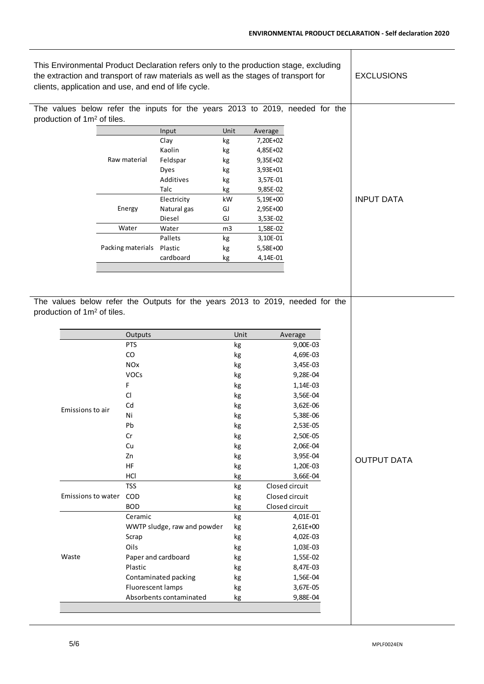$\mathbf T$ 

| This Environmental Product Declaration refers only to the production stage, excluding<br>the extraction and transport of raw materials as well as the stages of transport for<br>clients, application and use, and end of life cycle. |                                         |                   |                             |          |                      | <b>EXCLUSIONS</b>                                                             |                    |
|---------------------------------------------------------------------------------------------------------------------------------------------------------------------------------------------------------------------------------------|-----------------------------------------|-------------------|-----------------------------|----------|----------------------|-------------------------------------------------------------------------------|--------------------|
|                                                                                                                                                                                                                                       |                                         |                   |                             |          |                      | The values below refer the inputs for the years 2013 to 2019, needed for the  |                    |
|                                                                                                                                                                                                                                       | production of 1m <sup>2</sup> of tiles. |                   |                             |          |                      |                                                                               |                    |
|                                                                                                                                                                                                                                       |                                         |                   | Input                       | Unit     | Average              |                                                                               |                    |
|                                                                                                                                                                                                                                       |                                         |                   | Clay                        | kg       | 7,20E+02             |                                                                               |                    |
|                                                                                                                                                                                                                                       |                                         |                   | Kaolin                      | kg       | 4,85E+02             |                                                                               |                    |
|                                                                                                                                                                                                                                       |                                         | Raw material      | Feldspar                    | kg       | 9,35E+02             |                                                                               |                    |
|                                                                                                                                                                                                                                       |                                         |                   | Dyes                        | kg       | 3,93E+01             |                                                                               |                    |
|                                                                                                                                                                                                                                       |                                         |                   | Additives                   | kg       | 3,57E-01             |                                                                               |                    |
|                                                                                                                                                                                                                                       |                                         |                   | Talc                        | kg       | 9,85E-02             |                                                                               |                    |
|                                                                                                                                                                                                                                       |                                         |                   | Electricity                 | kW       | 5,19E+00             |                                                                               | <b>INPUT DATA</b>  |
|                                                                                                                                                                                                                                       |                                         | Energy            | Natural gas                 | GJ       | 2,95E+00             |                                                                               |                    |
|                                                                                                                                                                                                                                       |                                         | Water             | Diesel<br>Water             | GJ<br>m3 | 3,53E-02<br>1,58E-02 |                                                                               |                    |
|                                                                                                                                                                                                                                       |                                         |                   | Pallets                     | kg       | 3,10E-01             |                                                                               |                    |
|                                                                                                                                                                                                                                       |                                         | Packing materials | Plastic                     | kg       | 5,58E+00             |                                                                               |                    |
|                                                                                                                                                                                                                                       |                                         |                   | cardboard                   | kg       | 4,14E-01             |                                                                               |                    |
|                                                                                                                                                                                                                                       |                                         |                   |                             |          |                      |                                                                               |                    |
|                                                                                                                                                                                                                                       |                                         |                   |                             |          |                      |                                                                               |                    |
|                                                                                                                                                                                                                                       |                                         |                   |                             |          |                      |                                                                               |                    |
|                                                                                                                                                                                                                                       | production of 1m <sup>2</sup> of tiles. |                   |                             |          |                      | The values below refer the Outputs for the years 2013 to 2019, needed for the |                    |
|                                                                                                                                                                                                                                       |                                         | Outputs           |                             | Unit     |                      | Average                                                                       |                    |
|                                                                                                                                                                                                                                       |                                         | <b>PTS</b>        |                             |          |                      |                                                                               |                    |
|                                                                                                                                                                                                                                       |                                         |                   |                             | kg       |                      | 9,00E-03                                                                      |                    |
|                                                                                                                                                                                                                                       |                                         | CO                |                             | kg       |                      | 4,69E-03                                                                      |                    |
|                                                                                                                                                                                                                                       |                                         | <b>NOx</b>        |                             | kg       |                      | 3,45E-03                                                                      |                    |
|                                                                                                                                                                                                                                       |                                         | VOCs              |                             | kg       |                      | 9,28E-04                                                                      |                    |
|                                                                                                                                                                                                                                       |                                         | F                 |                             | kg       |                      | 1,14E-03                                                                      |                    |
|                                                                                                                                                                                                                                       |                                         | <b>CI</b>         |                             | kg       |                      | 3,56E-04                                                                      |                    |
|                                                                                                                                                                                                                                       | Emissions to air                        | Cd                |                             | kg       |                      | 3,62E-06                                                                      |                    |
|                                                                                                                                                                                                                                       |                                         | Ni                |                             | kg       |                      | 5,38E-06                                                                      |                    |
|                                                                                                                                                                                                                                       |                                         | Pb                |                             | kg       |                      | 2,53E-05                                                                      |                    |
|                                                                                                                                                                                                                                       |                                         | Cr                |                             | kg       |                      | 2,50E-05                                                                      |                    |
|                                                                                                                                                                                                                                       |                                         | Cu                |                             | kg       |                      | 2,06E-04                                                                      |                    |
|                                                                                                                                                                                                                                       |                                         | Zn                |                             | kg       |                      | 3,95E-04                                                                      | <b>OUTPUT DATA</b> |
|                                                                                                                                                                                                                                       |                                         | <b>HF</b>         |                             | kg       |                      | 1,20E-03                                                                      |                    |
|                                                                                                                                                                                                                                       |                                         | HCI               |                             | kg       |                      | 3,66E-04                                                                      |                    |
|                                                                                                                                                                                                                                       |                                         | <b>TSS</b>        |                             | kg       |                      | Closed circuit                                                                |                    |
|                                                                                                                                                                                                                                       | Emissions to water                      | COD               |                             | kg       |                      | Closed circuit                                                                |                    |
|                                                                                                                                                                                                                                       |                                         | <b>BOD</b>        |                             | kg       |                      | Closed circuit                                                                |                    |
|                                                                                                                                                                                                                                       |                                         | Ceramic           |                             | kg       |                      | 4,01E-01                                                                      |                    |
|                                                                                                                                                                                                                                       |                                         |                   | WWTP sludge, raw and powder | kg       |                      | 2,61E+00                                                                      |                    |
|                                                                                                                                                                                                                                       |                                         | Scrap<br>Oils     |                             | kg       |                      | 4,02E-03                                                                      |                    |
|                                                                                                                                                                                                                                       | Waste                                   |                   | Paper and cardboard         | kg       |                      | 1,03E-03<br>1,55E-02                                                          |                    |
|                                                                                                                                                                                                                                       |                                         | Plastic           |                             | kg       |                      | 8,47E-03                                                                      |                    |
|                                                                                                                                                                                                                                       |                                         |                   | Contaminated packing        | kg<br>kg |                      | 1,56E-04                                                                      |                    |
|                                                                                                                                                                                                                                       |                                         | Fluorescent lamps |                             | kg       |                      | 3,67E-05                                                                      |                    |
|                                                                                                                                                                                                                                       |                                         |                   | Absorbents contaminated     | kg       |                      | 9,88E-04                                                                      |                    |